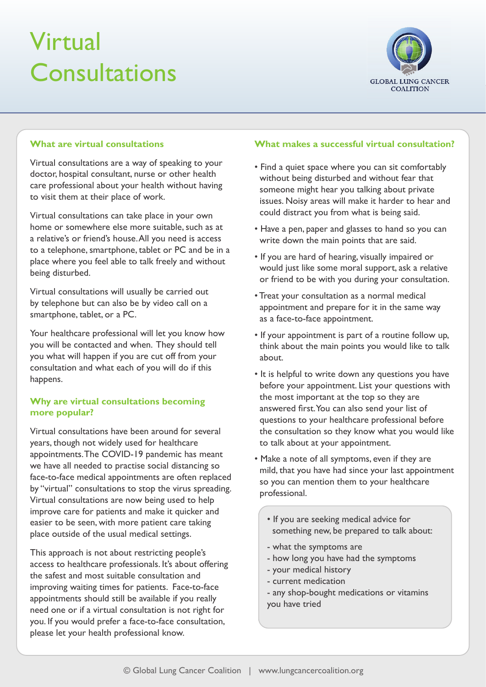# Virtual **Consultations**



## **What are virtual consultations**

Virtual consultations are a way of speaking to your doctor, hospital consultant, nurse or other health care professional about your health without having to visit them at their place of work.

Virtual consultations can take place in your own home or somewhere else more suitable, such as at a relative's or friend's house. All you need is access to a telephone, smartphone, tablet or PC and be in a place where you feel able to talk freely and without being disturbed.

Virtual consultations will usually be carried out by telephone but can also be by video call on a smartphone, tablet, or a PC.

Your healthcare professional will let you know how you will be contacted and when. They should tell you what will happen if you are cut off from your consultation and what each of you will do if this happens.

## **Why are virtual consultations becoming more popular?**

Virtual consultations have been around for several years, though not widely used for healthcare appointments. The COVID-19 pandemic has meant we have all needed to practise social distancing so face-to-face medical appointments are often replaced by "virtual" consultations to stop the virus spreading. Virtual consultations are now being used to help improve care for patients and make it quicker and easier to be seen, with more patient care taking place outside of the usual medical settings.

This approach is not about restricting people's access to healthcare professionals. It's about offering the safest and most suitable consultation and improving waiting times for patients. Face-to-face appointments should still be available if you really need one or if a virtual consultation is not right for you. If you would prefer a face-to-face consultation, please let your health professional know.

## **What makes a successful virtual consultation?**

- Find a quiet space where you can sit comfortably without being disturbed and without fear that someone might hear you talking about private issues. Noisy areas will make it harder to hear and could distract you from what is being said.
- Have a pen, paper and glasses to hand so you can write down the main points that are said.
- If you are hard of hearing, visually impaired or would just like some moral support, ask a relative or friend to be with you during your consultation.
- Treat your consultation as a normal medical appointment and prepare for it in the same way as a face-to-face appointment.
- If your appointment is part of a routine follow up, think about the main points you would like to talk about.
- It is helpful to write down any questions you have before your appointment. List your questions with the most important at the top so they are answered first. You can also send your list of questions to your healthcare professional before the consultation so they know what you would like to talk about at your appointment.
- Make a note of all symptoms, even if they are mild, that you have had since your last appointment so you can mention them to your healthcare professional.
	- If you are seeking medical advice for something new, be prepared to talk about:
	- what the symptoms are
	- how long you have had the symptoms
	- your medical history
	- current medication
	- any shop-bought medications or vitamins you have tried